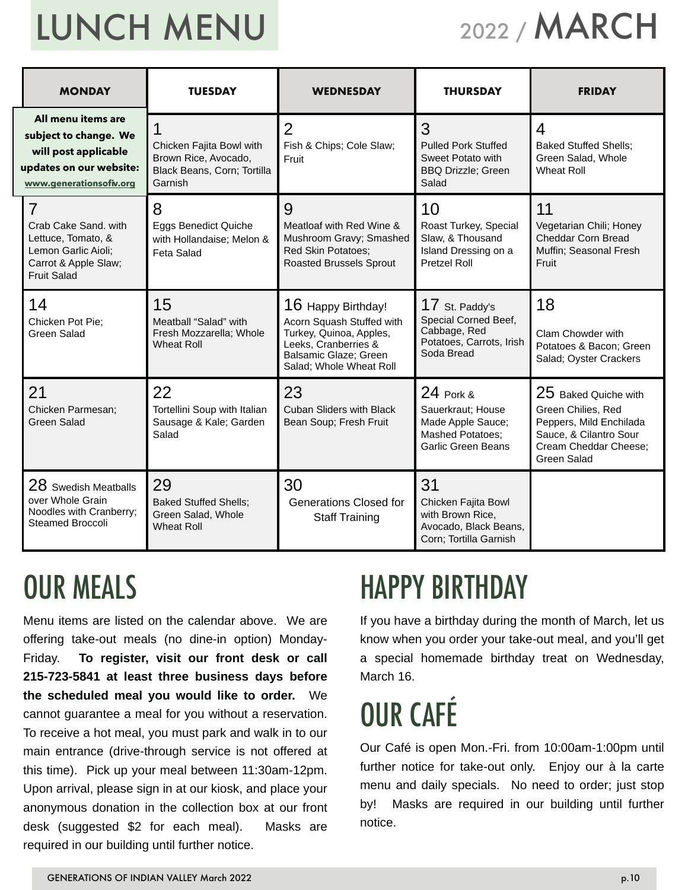# LUNCH MENU

## 2022 / MARCH

| <b>MONDAY</b>                                                                                                                     | <b>TUESDAY</b>                                                                             | <b>THURSDAY</b><br><b>WEDNESDAY</b>                                                                                                                    |                                                                                                             | <b>FRIDAY</b>                                                                                                                           |  |
|-----------------------------------------------------------------------------------------------------------------------------------|--------------------------------------------------------------------------------------------|--------------------------------------------------------------------------------------------------------------------------------------------------------|-------------------------------------------------------------------------------------------------------------|-----------------------------------------------------------------------------------------------------------------------------------------|--|
| All menu items are<br>subject to change. We<br>will post applicable<br>updates on our website:<br>www.generationsofiv.org         | Chicken Fajita Bowl with<br>Brown Rice, Avocado,<br>Black Beans, Corn; Tortilla<br>Garnish | $\overline{2}$<br>Fish & Chips; Cole Slaw;<br>Fruit                                                                                                    | 3<br><b>Pulled Pork Stuffed</b><br>Sweet Potato with<br><b>BBQ Drizzle; Green</b><br>Salad                  | $\overline{4}$<br><b>Baked Stuffed Shells;</b><br>Green Salad, Whole<br><b>Wheat Roll</b>                                               |  |
| $\overline{7}$<br>Crab Cake Sand, with<br>Lettuce, Tomato, &<br>Lemon Garlic Aioli;<br>Carrot & Apple Slaw;<br><b>Fruit Salad</b> | 8<br><b>Eggs Benedict Quiche</b><br>with Hollandaise; Melon &<br>Feta Salad                | 9<br>Meatloaf with Red Wine &<br>Mushroom Gravy; Smashed<br><b>Red Skin Potatoes;</b><br><b>Roasted Brussels Sprout</b>                                | 10<br>Roast Turkey, Special<br>Slaw, & Thousand<br>Island Dressing on a<br><b>Pretzel Roll</b>              | 11<br>Vegetarian Chili; Honey<br>Cheddar Corn Bread<br>Muffin; Seasonal Fresh<br>Fruit                                                  |  |
| 14<br>Chicken Pot Pie:<br><b>Green Salad</b>                                                                                      | 15<br>Meatball "Salad" with<br>Fresh Mozzarella; Whole<br><b>Wheat Roll</b>                | 16 Happy Birthday!<br>Acorn Squash Stuffed with<br>Turkey, Quinoa, Apples,<br>Leeks, Cranberries &<br>Balsamic Glaze; Green<br>Salad; Whole Wheat Roll | $17$ St. Paddy's<br>Special Corned Beef,<br>Cabbage, Red<br>Potatoes, Carrots, Irish<br>Soda Bread          | 18<br>Clam Chowder with<br>Potatoes & Bacon; Green<br>Salad; Oyster Crackers                                                            |  |
| 21<br>Chicken Parmesan;<br>Green Salad                                                                                            | 22<br>Tortellini Soup with Italian<br>Sausage & Kale; Garden<br>Salad                      | 23<br><b>Cuban Sliders with Black</b><br>Bean Soup; Fresh Fruit                                                                                        | 24 Pork &<br>Sauerkraut; House<br>Made Apple Sauce;<br><b>Mashed Potatoes:</b><br><b>Garlic Green Beans</b> | 25 Baked Quiche with<br>Green Chilies, Red<br>Peppers, Mild Enchilada<br>Sauce, & Cilantro Sour<br>Cream Cheddar Cheese;<br>Green Salad |  |
| 28 Swedish Meatballs<br>over Whole Grain<br>Noodles with Cranberry;<br><b>Steamed Broccoli</b>                                    | 29<br><b>Baked Stuffed Shells;</b><br>Green Salad, Whole<br><b>Wheat Roll</b>              | 30<br><b>Generations Closed for</b><br><b>Staff Training</b>                                                                                           | 31<br>Chicken Fajita Bowl<br>with Brown Rice,<br>Avocado, Black Beans,<br>Corn; Tortilla Garnish            |                                                                                                                                         |  |

#### OUR MEALS

Menu items are listed on the calendar above. We are offering take-out meals (no dine-in option) Monday-Friday. **To register, visit our front desk or call 215-723-5841 at least three business days before the scheduled meal you would like to order.** We cannot guarantee a meal for you without a reservation. To receive a hot meal, you must park and walk in to our main entrance (drive-through service is not offered at this time). Pick up your meal between 11:30am-12pm. Upon arrival, please sign in at our kiosk, and place your anonymous donation in the collection box at our front desk (suggested \$2 for each meal). Masks are required in our building until further notice.

#### HAPPY BIRTHDAY

If you have a birthday during the month of March, let us know when you order your take-out meal, and you'll get a special homemade birthday treat on Wednesday, March 16.

## OUR CAFÉ

Our Café is open Mon.-Fri. from 10:00am-1:00pm until further notice for take-out only. Enjoy our à la carte menu and daily specials. No need to order; just stop by! Masks are required in our building until further notice.